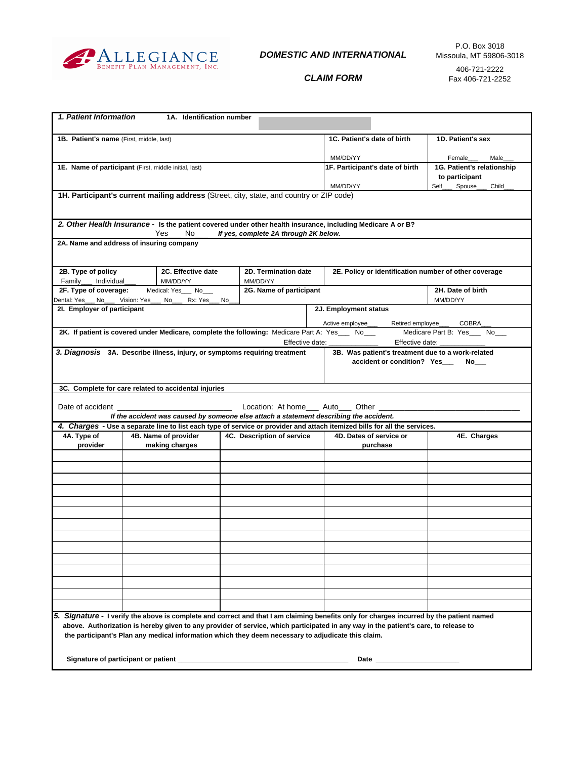

# *DOMESTIC AND INTERNATIONAL*

Fax 406-721-2252

*CLAIM FORM*

| 1. Patient Information                                                                                                                                                |                | 1A. Identification number |     |                            |                                                       |                                            |                   |
|-----------------------------------------------------------------------------------------------------------------------------------------------------------------------|----------------|---------------------------|-----|----------------------------|-------------------------------------------------------|--------------------------------------------|-------------------|
| 1B. Patient's name (First, middle, last)                                                                                                                              |                |                           |     |                            |                                                       | 1C. Patient's date of birth                | 1D. Patient's sex |
|                                                                                                                                                                       |                |                           |     |                            |                                                       |                                            |                   |
|                                                                                                                                                                       |                |                           |     |                            |                                                       | MM/DD/YY                                   | Female<br>Male    |
| 1E. Name of participant (First, middle initial, last)                                                                                                                 |                |                           |     |                            | 1F. Participant's date of birth                       | 1G. Patient's relationship                 |                   |
|                                                                                                                                                                       |                |                           |     |                            | MM/DD/YY                                              | to participant<br>Self<br>Spouse_<br>Child |                   |
| 1H. Participant's current mailing address (Street, city, state, and country or ZIP code)                                                                              |                |                           |     |                            |                                                       |                                            |                   |
|                                                                                                                                                                       |                |                           |     |                            |                                                       |                                            |                   |
|                                                                                                                                                                       |                |                           |     |                            |                                                       |                                            |                   |
| 2. Other Health Insurance - Is the patient covered under other health insurance, including Medicare A or B?                                                           |                |                           |     |                            |                                                       |                                            |                   |
| Yes<br>No.<br>If yes, complete 2A through 2K below.                                                                                                                   |                |                           |     |                            |                                                       |                                            |                   |
| 2A. Name and address of insuring company                                                                                                                              |                |                           |     |                            |                                                       |                                            |                   |
|                                                                                                                                                                       |                |                           |     |                            |                                                       |                                            |                   |
| 2B. Type of policy<br>2C. Effective date                                                                                                                              |                |                           |     | 2D. Termination date       | 2E. Policy or identification number of other coverage |                                            |                   |
| Family___<br>Individual                                                                                                                                               | MM/DD/YY       |                           |     | MM/DD/YY                   |                                                       |                                            |                   |
| 2F. Type of coverage:<br>2G. Name of participant<br>Medical: Yes___ No___                                                                                             |                |                           |     |                            |                                                       |                                            | 2H. Date of birth |
| Dental: Yes___ No___ Vision: Yes_<br>2I. Employer of participant                                                                                                      |                | Rx: Yes_<br>No            | No. |                            |                                                       | 2J. Employment status                      | MM/DD/YY          |
|                                                                                                                                                                       |                |                           |     |                            |                                                       |                                            |                   |
|                                                                                                                                                                       |                |                           |     |                            |                                                       | Retired employee_<br>Active emplovee       | <b>COBRA</b>      |
| 2K. If patient is covered under Medicare, complete the following: Medicare Part A: Yes __ No__<br>Medicare Part B: Yes___ No___<br>Effective date:<br>Effective date: |                |                           |     |                            |                                                       |                                            |                   |
| 3. Diagnosis 3A. Describe illness, injury, or symptoms requiring treatment<br>3B. Was patient's treatment due to a work-related                                       |                |                           |     |                            |                                                       |                                            |                   |
| accident or condition? Yes<br>No l                                                                                                                                    |                |                           |     |                            |                                                       |                                            |                   |
|                                                                                                                                                                       |                |                           |     |                            |                                                       |                                            |                   |
|                                                                                                                                                                       |                |                           |     |                            |                                                       |                                            |                   |
| 3C. Complete for care related to accidental injuries                                                                                                                  |                |                           |     |                            |                                                       |                                            |                   |
| Location: At home Auto Other<br>Date of accident ____________                                                                                                         |                |                           |     |                            |                                                       |                                            |                   |
| If the accident was caused by someone else attach a statement describing the accident.                                                                                |                |                           |     |                            |                                                       |                                            |                   |
| 4. Charges - Use a separate line to list each type of service or provider and attach itemized bills for all the services.                                             |                |                           |     |                            |                                                       |                                            |                   |
| 4A. Type of<br>4B. Name of provider                                                                                                                                   |                |                           |     | 4C. Description of service |                                                       | 4D. Dates of service or                    | 4E. Charges       |
| provider                                                                                                                                                              | making charges |                           |     |                            |                                                       | purchase                                   |                   |
|                                                                                                                                                                       |                |                           |     |                            |                                                       |                                            |                   |
|                                                                                                                                                                       |                |                           |     |                            |                                                       |                                            |                   |
|                                                                                                                                                                       |                |                           |     |                            |                                                       |                                            |                   |
|                                                                                                                                                                       |                |                           |     |                            |                                                       |                                            |                   |
|                                                                                                                                                                       |                |                           |     |                            |                                                       |                                            |                   |
|                                                                                                                                                                       |                |                           |     |                            |                                                       |                                            |                   |
|                                                                                                                                                                       |                |                           |     |                            |                                                       |                                            |                   |
|                                                                                                                                                                       |                |                           |     |                            |                                                       |                                            |                   |
|                                                                                                                                                                       |                |                           |     |                            |                                                       |                                            |                   |
|                                                                                                                                                                       |                |                           |     |                            |                                                       |                                            |                   |
|                                                                                                                                                                       |                |                           |     |                            |                                                       |                                            |                   |
|                                                                                                                                                                       |                |                           |     |                            |                                                       |                                            |                   |
|                                                                                                                                                                       |                |                           |     |                            |                                                       |                                            |                   |
|                                                                                                                                                                       |                |                           |     |                            |                                                       |                                            |                   |
| 5. Signature - I verify the above is complete and correct and that I am claiming benefits only for charges incurred by the patient named                              |                |                           |     |                            |                                                       |                                            |                   |
| above. Authorization is hereby given to any provider of service, which participated in any way in the patient's care, to release to                                   |                |                           |     |                            |                                                       |                                            |                   |
| the participant's Plan any medical information which they deem necessary to adjudicate this claim.                                                                    |                |                           |     |                            |                                                       |                                            |                   |
|                                                                                                                                                                       |                |                           |     |                            |                                                       |                                            |                   |
|                                                                                                                                                                       |                |                           |     |                            |                                                       |                                            |                   |
|                                                                                                                                                                       |                |                           |     |                            |                                                       |                                            |                   |